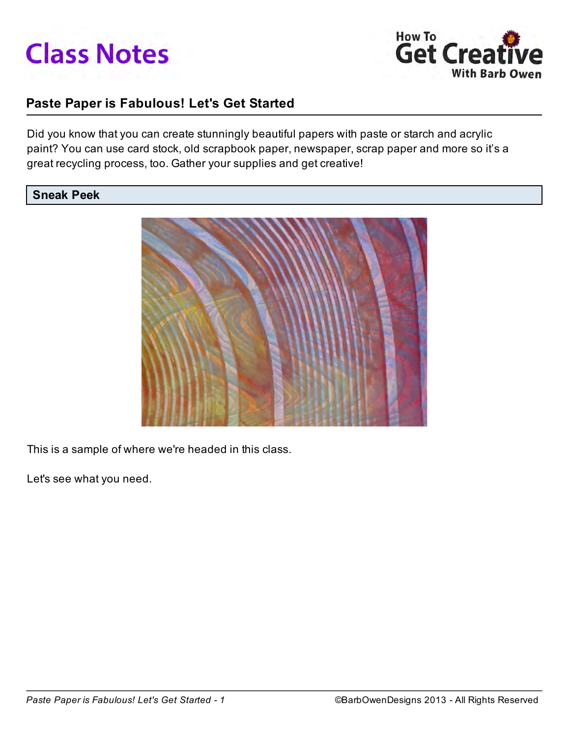



# Paste Paper is Fabulous! Let's Get Started

Did you know that you can create stunningly beautiful papers with paste or starch and acrylic paint? You can use card stock, old scrapbook paper, newspaper, scrap paper and more so it's a great recycling process, too. Gather your supplies and get creative!

#### Sneak Peek



This is a sample of where we're headed in this class.

Let's see what you need.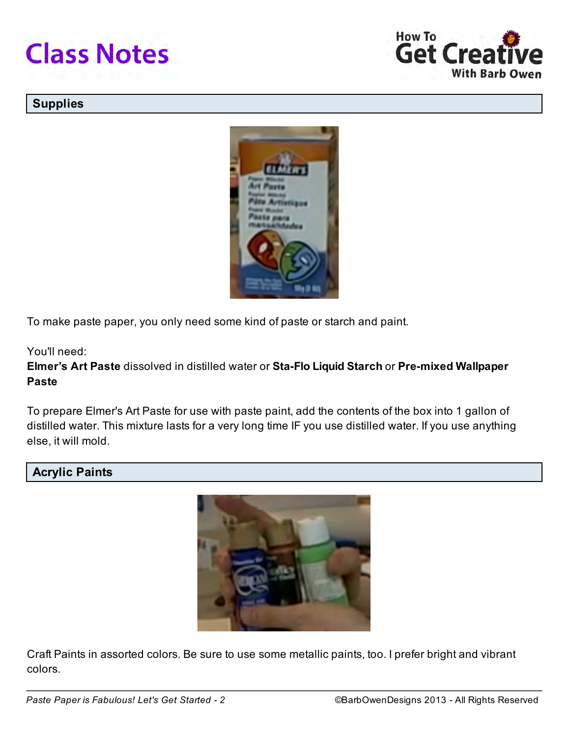



### **Supplies**



To make paste paper, you only need some kind of paste or starch and paint.

#### You'll need:

Elmer's Art Paste dissolved in distilled water or Sta-Flo Liquid Starch or Pre-mixed Wallpaper Paste

To prepare Elmer's Art Paste for use with paste paint, add the contents of the box into 1 gallon of distilled water. This mixture lasts for a very long time IF you use distilled water. If you use anything else, it will mold.

### Acrylic Paints



Craft Paints in assorted colors. Be sure to use some metallic paints, too. I prefer bright and vibrant colors.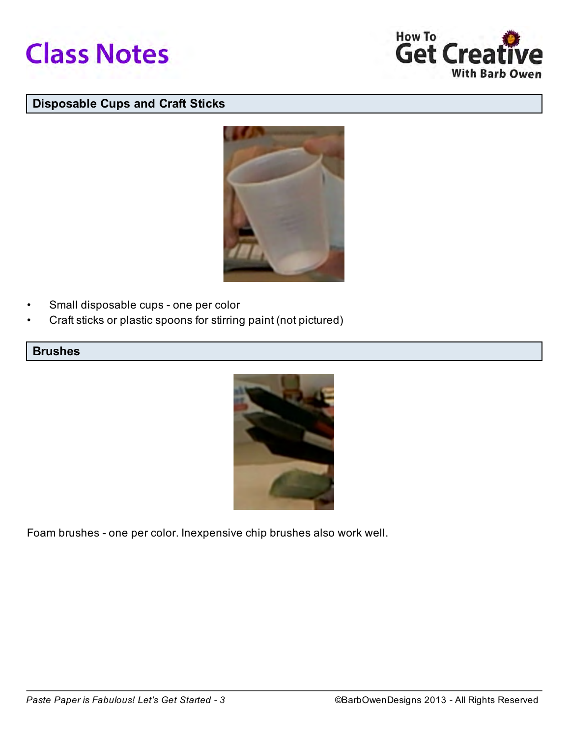



## Disposable Cups and Craft Sticks



- Small disposable cups one per color
- Craft sticks or plastic spoons for stirring paint (not pictured)

### Brushes



Foam brushes - one per color. Inexpensive chip brushes also work well.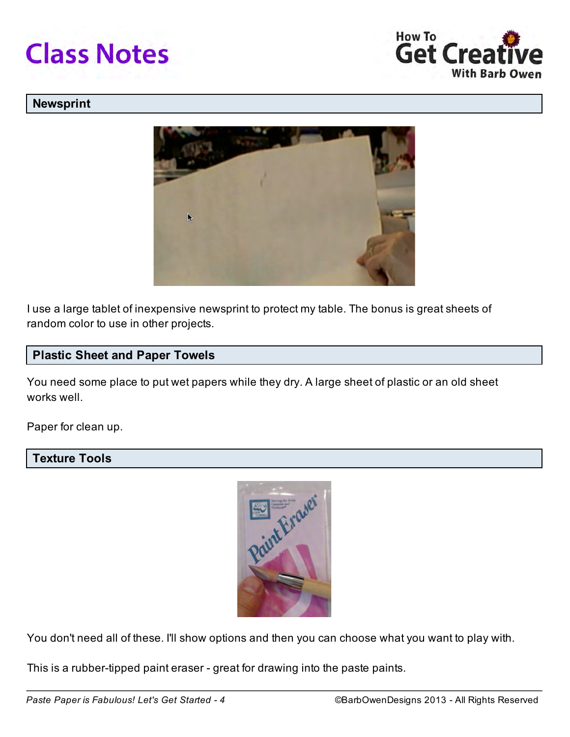



#### Newsprint



I use a large tablet of inexpensive newsprint to protect my table. The bonus is great sheets of random color to use in other projects.

### Plastic Sheet and Paper Towels

You need some place to put wet papers while they dry. A large sheet of plastic or an old sheet works well.

Paper for clean up.

### Texture Tools



You don't need all of these. I'll show options and then you can choose what you want to play with.

This is a rubber-tipped paint eraser - great for drawing into the paste paints.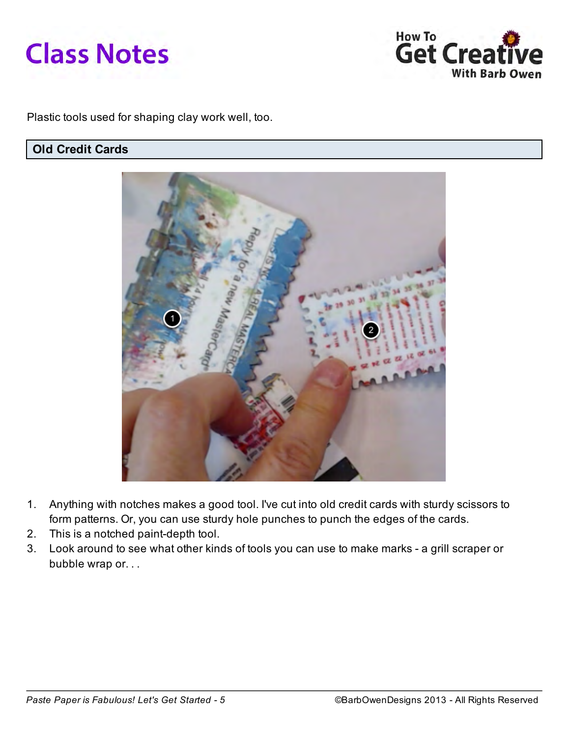



Plastic tools used for shaping clay work well, too.

# Old Credit Cards



- 1. Anything with notches makes a good tool. I've cut into old credit cards with sturdy scissors to form patterns. Or, you can use sturdy hole punches to punch the edges of the cards.
- 2. This is a notched paint-depth tool.
- 3. Look around to see what other kinds of tools you can use to make marks a grill scraper or bubble wrap or. . .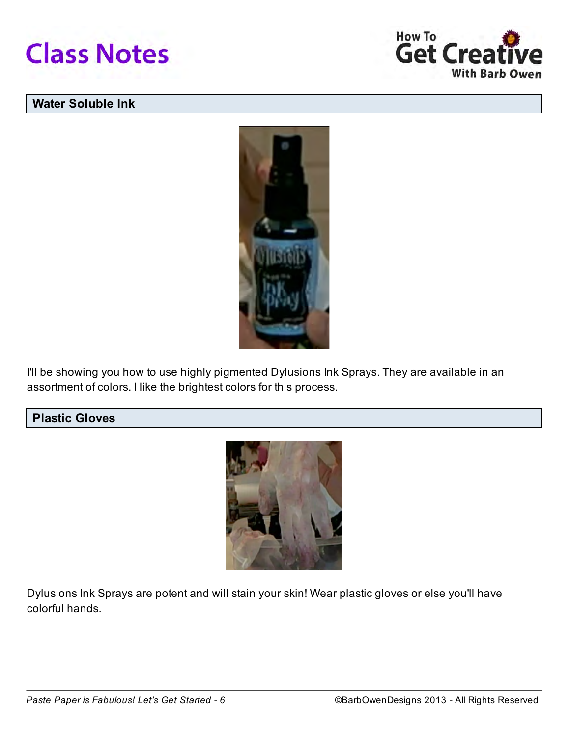



# Water Soluble Ink



I'll be showing you how to use highly pigmented Dylusions Ink Sprays. They are available in an assortment of colors. I like the brightest colors for this process.

# Plastic Gloves



Dylusions Ink Sprays are potent and will stain your skin! Wear plastic gloves or else you'll have colorful hands.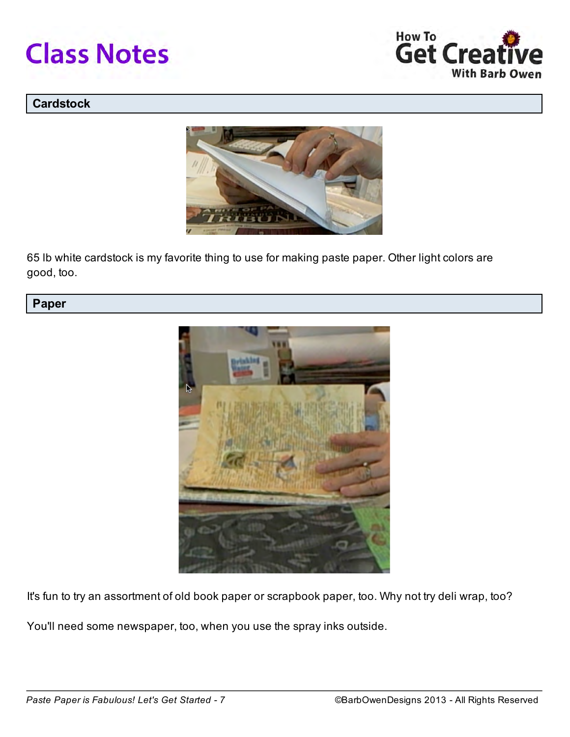



### **Cardstock**



65 lb white cardstock is my favorite thing to use for making paste paper. Other light colors are good, too.

# Paper



It's fun to try an assortment of old book paper or scrapbook paper, too. Why not try deli wrap, too?

You'll need some newspaper, too, when you use the spray inks outside.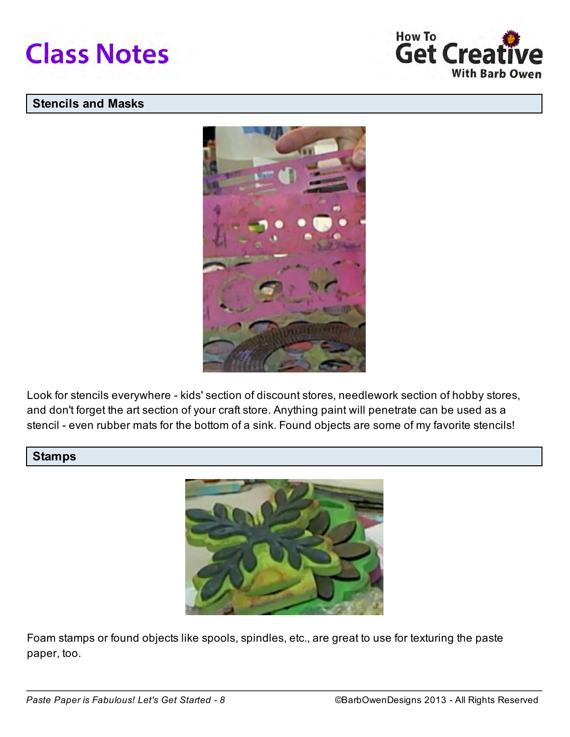



## Stencils and Masks



Look for stencils everywhere - kids' section of discount stores, needlework section of hobby stores, and don't forget the art section of your craft store. Anything paint will penetrate can be used as a stencil - even rubber mats for the bottom of a sink. Found objects are some of my favorite stencils!

# **Stamps**



Foam stamps or found objects like spools, spindles, etc., are great to use for texturing the paste paper, too.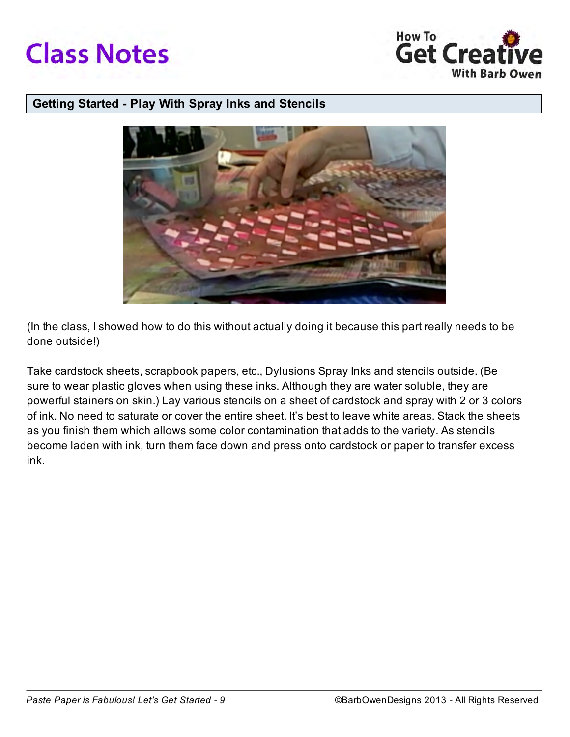



#### Getting Started - Play With Spray Inks and Stencils



(In the class, I showed how to do this without actually doing it because this part really needs to be done outside!)

Take cardstock sheets, scrapbook papers, etc., Dylusions Spray Inks and stencils outside. (Be sure to wear plastic gloves when using these inks. Although they are water soluble, they are powerful stainers on skin.) Lay various stencils on a sheet of cardstock and spray with 2 or 3 colors of ink. No need to saturate or cover the entire sheet. It's best to leave white areas. Stack the sheets as you finish them which allows some color contamination that adds to the variety. As stencils become laden with ink, turn them face down and press onto cardstock or paper to transfer excess ink.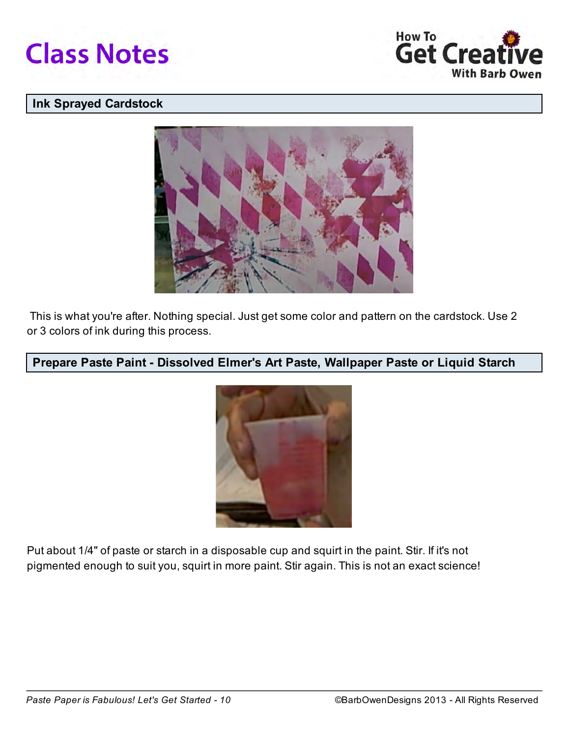



## Ink Sprayed Cardstock



 This is what you're after. Nothing special. Just get some color and pattern on the cardstock. Use 2 or 3 colors of ink during this process.

# Prepare Paste Paint - Dissolved Elmer's Art Paste, Wallpaper Paste or Liquid Starch



Put about 1/4" of paste or starch in a disposable cup and squirt in the paint. Stir. If it's not pigmented enough to suit you, squirt in more paint. Stir again. This is not an exact science!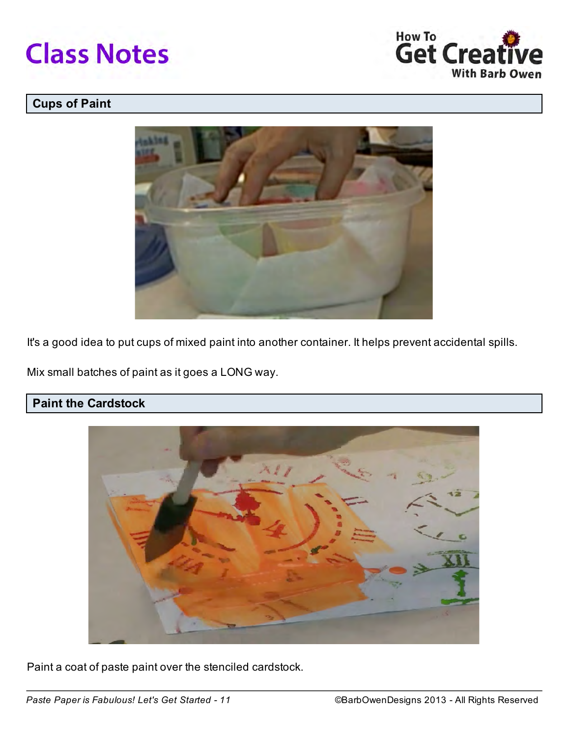



# Cups of Paint



It's a good idea to put cups of mixed paint into another container. It helps prevent accidental spills.

Mix small batches of paint as it goes a LONG way.

# Paint the Cardstock



Paint a coat of paste paint over the stenciled cardstock.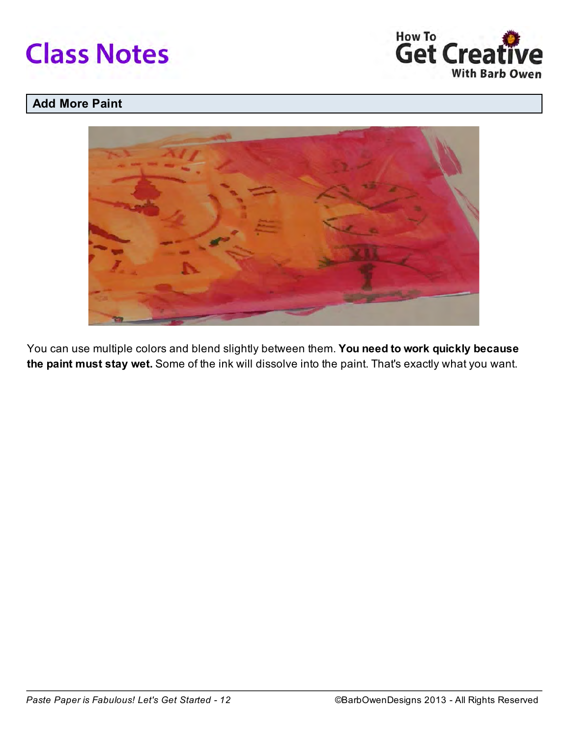



# Add More Paint



You can use multiple colors and blend slightly between them. You need to work quickly because the paint must stay wet. Some of the ink will dissolve into the paint. That's exactly what you want.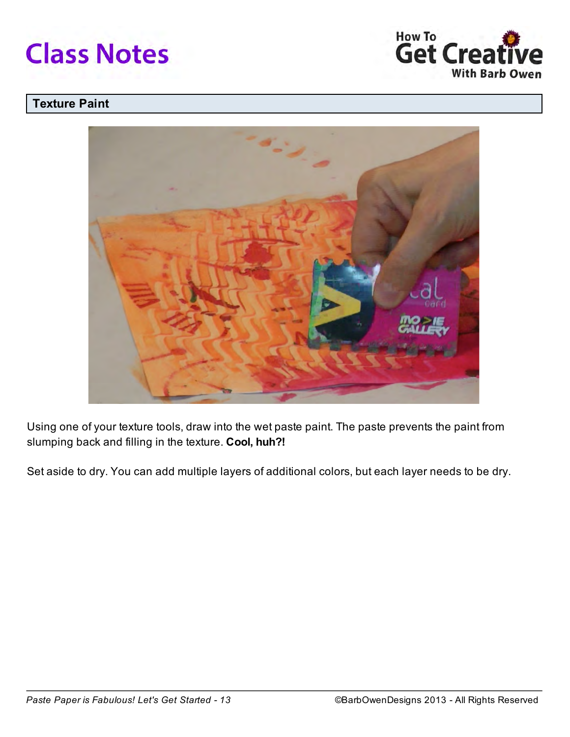



## Texture Paint



Using one of your texture tools, draw into the wet paste paint. The paste prevents the paint from slumping back and filling in the texture. Cool, huh?!

Set aside to dry. You can add multiple layers of additional colors, but each layer needs to be dry.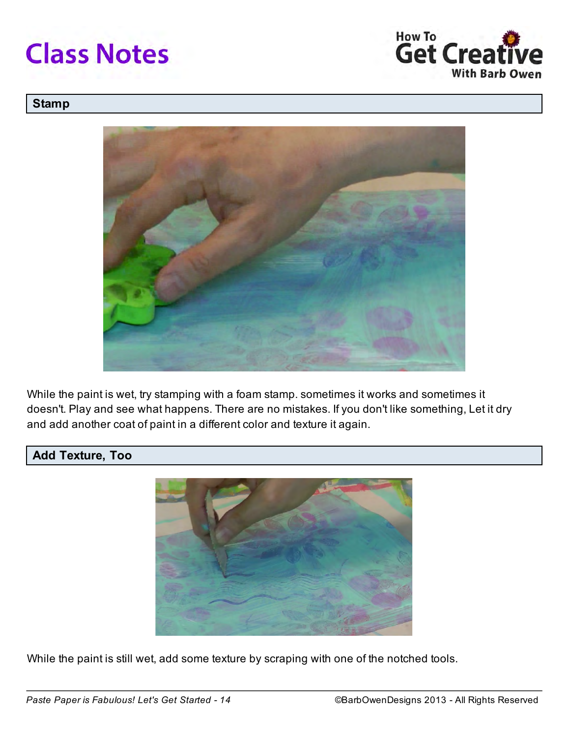



### **Stamp**



While the paint is wet, try stamping with a foam stamp. sometimes it works and sometimes it doesn't. Play and see what happens. There are no mistakes. If you don't like something, Let it dry and add another coat of paint in a different color and texture it again.

## Add Texture, Too



While the paint is still wet, add some texture by scraping with one of the notched tools.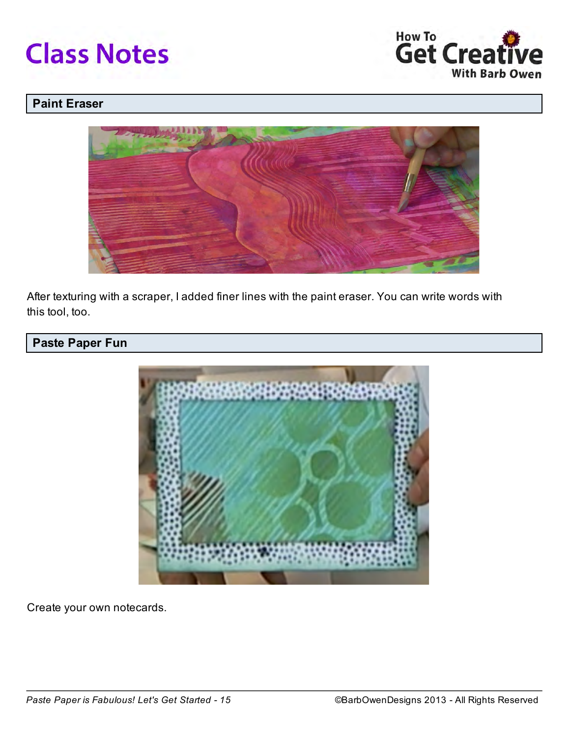



## Paint Eraser



After texturing with a scraper, I added finer lines with the paint eraser. You can write words with this tool, too.

# Paste Paper Fun



Create your own notecards.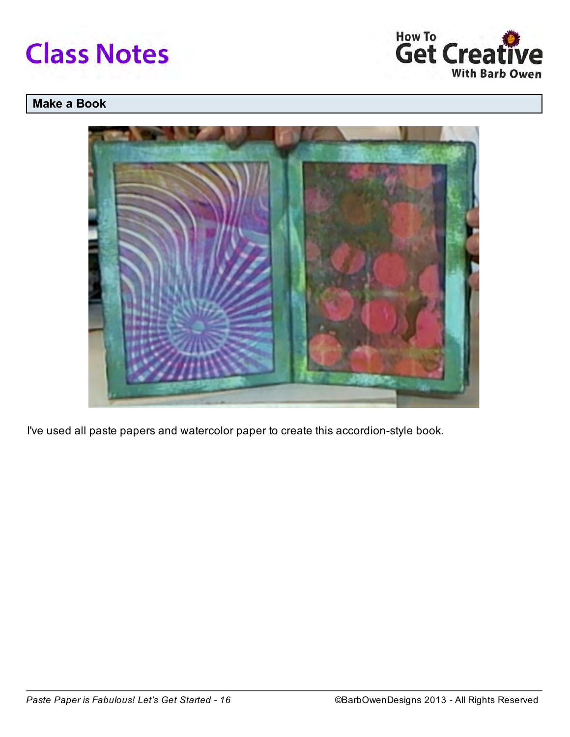



# Make a Book



I've used all paste papers and watercolor paper to create this accordion-style book.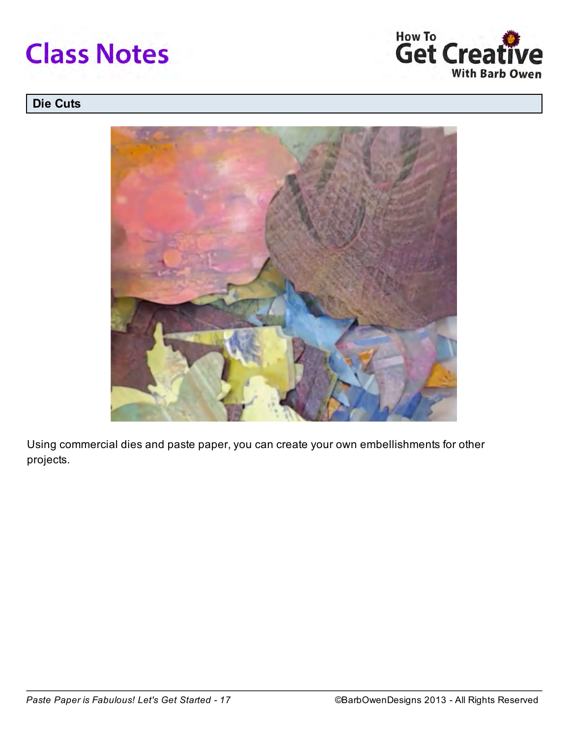



# Die Cuts



Using commercial dies and paste paper, you can create your own embellishments for other projects.